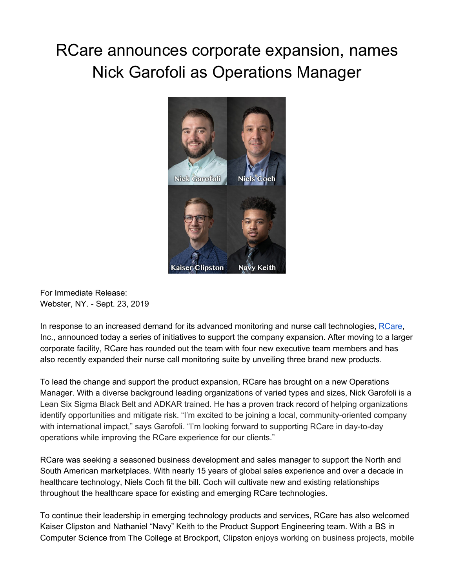## RCare announces corporate expansion, names Nick Garofoli as Operations Manager



For Immediate Release: Webster, NY. - Sept. 23, 2019

In response to an increased demand for its advanced monitoring and nurse call technologies, [RCare,](http://rcareinc.com/) Inc., announced today a series of initiatives to support the company expansion. After moving to a larger corporate facility, RCare has rounded out the team with four new executive team members and has also recently expanded their nurse call monitoring suite by unveiling three brand new products.

To lead the change and support the product expansion, RCare has brought on a new Operations Manager. With a diverse background leading organizations of varied types and sizes, Nick Garofoli is a Lean Six Sigma Black Belt and ADKAR trained. He has a proven track record of helping organizations identify opportunities and mitigate risk. "I'm excited to be joining a local, community-oriented company with international impact," says Garofoli. "I'm looking forward to supporting RCare in day-to-day operations while improving the RCare experience for our clients."

RCare was seeking a seasoned business development and sales manager to support the North and South American marketplaces. With nearly 15 years of global sales experience and over a decade in healthcare technology, Niels Coch fit the bill. Coch will cultivate new and existing relationships throughout the healthcare space for existing and emerging RCare technologies.

To continue their leadership in emerging technology products and services, RCare has also welcomed Kaiser Clipston and Nathaniel "Navy" Keith to the Product Support Engineering team. With a BS in Computer Science from The College at Brockport, Clipston enjoys working on business projects, mobile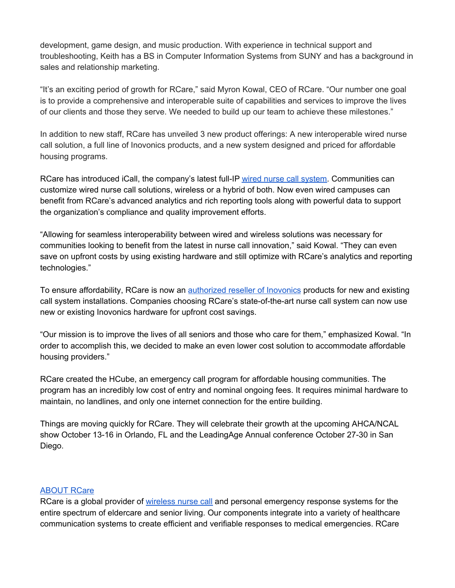development, game design, and music production. With experience in technical support and troubleshooting, Keith has a BS in Computer Information Systems from SUNY and has a background in sales and relationship marketing.

"It's an exciting period of growth for RCare," said Myron Kowal, CEO of RCare. "Our number one goal is to provide a comprehensive and interoperable suite of capabilities and services to improve the lives of our clients and those they serve. We needed to build up our team to achieve these milestones."

In addition to new staff, RCare has unveiled 3 new product offerings: A new interoperable wired nurse call solution, a full line of Inovonics products, and a new system designed and priced for affordable housing programs.

RCare has introduced iCall, the company's latest full-IP wired nurse call [system](https://rcareinc.com/products/icall/). Communities can customize wired nurse call solutions, wireless or a hybrid of both. Now even wired campuses can benefit from RCare's advanced analytics and rich reporting tools along with powerful data to support the organization's compliance and quality improvement efforts.

"Allowing for seamless interoperability between wired and wireless solutions was necessary for communities looking to benefit from the latest in nurse call innovation," said Kowal. "They can even save on upfront costs by using existing hardware and still optimize with RCare's analytics and reporting technologies."

To ensure affordability, RCare is now an **[authorized](https://rcareinc.com/products/inovonics-integration/) reseller of Inovonics** products for new and existing call system installations. Companies choosing RCare's state-of-the-art nurse call system can now use new or existing Inovonics hardware for upfront cost savings.

"Our mission is to improve the lives of all seniors and those who care for them," emphasized Kowal. "In order to accomplish this, we decided to make an even lower cost solution to accommodate affordable housing providers."

RCare created the HCube, an emergency call program for affordable housing communities. The program has an incredibly low cost of entry and nominal ongoing fees. It requires minimal hardware to maintain, no landlines, and only one internet connection for the entire building.

Things are moving quickly for RCare. They will celebrate their growth at the upcoming AHCA/NCAL show October 13-16 in Orlando, FL and the LeadingAge Annual conference October 27-30 in San Diego.

## [ABOUT](http://rcareinc.com/) RCare

RCare is a global provider of [wireless](https://rcareinc.com/) nurse call and personal emergency response systems for the entire spectrum of eldercare and senior living. Our components integrate into a variety of healthcare communication systems to create efficient and verifiable responses to medical emergencies. RCare